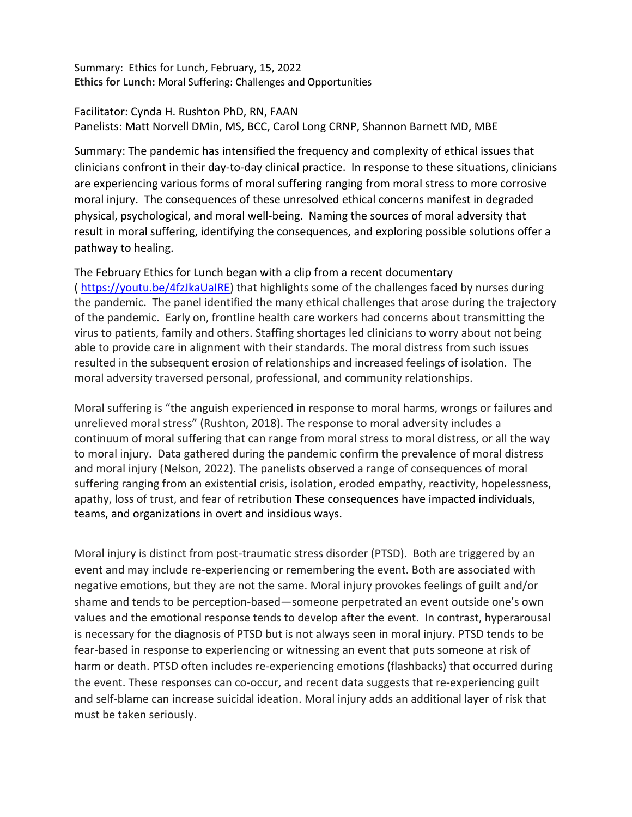Summary: Ethics for Lunch, February, 15, 2022 **Ethics for Lunch:** Moral Suffering: Challenges and Opportunities

Facilitator: Cynda H. Rushton PhD, RN, FAAN Panelists: Matt Norvell DMin, MS, BCC, Carol Long CRNP, Shannon Barnett MD, MBE

Summary: The pandemic has intensified the frequency and complexity of ethical issues that clinicians confront in their day-to-day clinical practice. In response to these situations, clinicians are experiencing various forms of moral suffering ranging from moral stress to more corrosive moral injury. The consequences of these unresolved ethical concerns manifest in degraded physical, psychological, and moral well-being. Naming the sources of moral adversity that result in moral suffering, identifying the consequences, and exploring possible solutions offer a pathway to healing.

The February Ethics for Lunch began with a clip from a recent documentary ( https://youtu.be/4fzJkaUaIRE) that highlights some of the challenges faced by nurses during the pandemic. The panel identified the many ethical challenges that arose during the trajectory of the pandemic. Early on, frontline health care workers had concerns about transmitting the virus to patients, family and others. Staffing shortages led clinicians to worry about not being able to provide care in alignment with their standards. The moral distress from such issues resulted in the subsequent erosion of relationships and increased feelings of isolation. The moral adversity traversed personal, professional, and community relationships.

Moral suffering is "the anguish experienced in response to moral harms, wrongs or failures and unrelieved moral stress" (Rushton, 2018). The response to moral adversity includes a continuum of moral suffering that can range from moral stress to moral distress, or all the way to moral injury. Data gathered during the pandemic confirm the prevalence of moral distress and moral injury (Nelson, 2022). The panelists observed a range of consequences of moral suffering ranging from an existential crisis, isolation, eroded empathy, reactivity, hopelessness, apathy, loss of trust, and fear of retribution These consequences have impacted individuals, teams, and organizations in overt and insidious ways.

Moral injury is distinct from post-traumatic stress disorder (PTSD). Both are triggered by an event and may include re-experiencing or remembering the event. Both are associated with negative emotions, but they are not the same. Moral injury provokes feelings of guilt and/or shame and tends to be perception-based—someone perpetrated an event outside one's own values and the emotional response tends to develop after the event. In contrast, hyperarousal is necessary for the diagnosis of PTSD but is not always seen in moral injury. PTSD tends to be fear-based in response to experiencing or witnessing an event that puts someone at risk of harm or death. PTSD often includes re-experiencing emotions (flashbacks) that occurred during the event. These responses can co-occur, and recent data suggests that re-experiencing guilt and self-blame can increase suicidal ideation. Moral injury adds an additional layer of risk that must be taken seriously.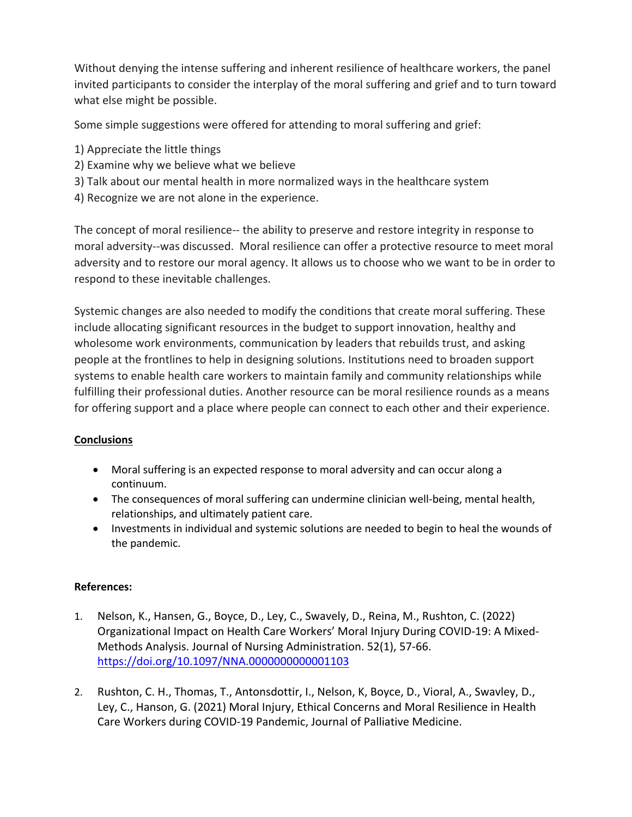Without denying the intense suffering and inherent resilience of healthcare workers, the panel invited participants to consider the interplay of the moral suffering and grief and to turn toward what else might be possible.

Some simple suggestions were offered for attending to moral suffering and grief:

- 1) Appreciate the little things
- 2) Examine why we believe what we believe
- 3) Talk about our mental health in more normalized ways in the healthcare system
- 4) Recognize we are not alone in the experience.

The concept of moral resilience-- the ability to preserve and restore integrity in response to moral adversity--was discussed. Moral resilience can offer a protective resource to meet moral adversity and to restore our moral agency. It allows us to choose who we want to be in order to respond to these inevitable challenges.

Systemic changes are also needed to modify the conditions that create moral suffering. These include allocating significant resources in the budget to support innovation, healthy and wholesome work environments, communication by leaders that rebuilds trust, and asking people at the frontlines to help in designing solutions. Institutions need to broaden support systems to enable health care workers to maintain family and community relationships while fulfilling their professional duties. Another resource can be moral resilience rounds as a means for offering support and a place where people can connect to each other and their experience.

## **Conclusions**

- Moral suffering is an expected response to moral adversity and can occur along a continuum.
- The consequences of moral suffering can undermine clinician well-being, mental health, relationships, and ultimately patient care.
- Investments in individual and systemic solutions are needed to begin to heal the wounds of the pandemic.

## **References:**

- 1. Nelson, K., Hansen, G., Boyce, D., Ley, C., Swavely, D., Reina, M., Rushton, C. (2022) Organizational Impact on Health Care Workers' Moral Injury During COVID-19: A Mixed-Methods Analysis. Journal of Nursing Administration. 52(1), 57-66. https://doi.org/10.1097/NNA.0000000000001103
- 2. Rushton, C. H., Thomas, T., Antonsdottir, I., Nelson, K, Boyce, D., Vioral, A., Swavley, D., Ley, C., Hanson, G. (2021) Moral Injury, Ethical Concerns and Moral Resilience in Health Care Workers during COVID-19 Pandemic, Journal of Palliative Medicine.